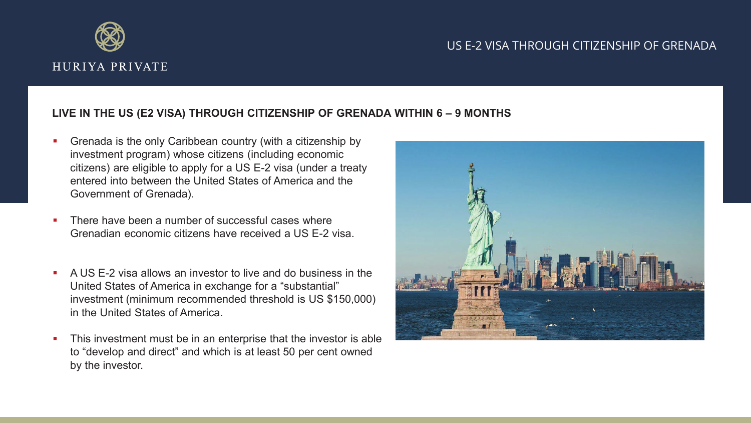

## US E-2 VISA THROUGH CITIZENSHIP OF GRENADA

## Ex **LIVE IN THE US (E2 VISA) THROUGH CITIZENSHIP OF GRENADA WITHIN 6 – 9 MONTHS**

- **Grenada is the only Caribbean country (with a citizenship by** investment program) whose citizens (including economic citizens) are eligible to apply for a US E-2 visa (under a treaty entered into between the United States of America and the Government of Grenada).
- **There have been a number of successful cases where** Grenadian economic citizens have received a US E-2 visa.
- A US E-2 visa allows an investor to live and do business in the United States of America in exchange for a "substantial" investment (minimum recommended threshold is US \$150,000) in the United States of America.
- **This investment must be in an enterprise that the investor is able** to "develop and direct" and which is at least 50 per cent owned by the investor.

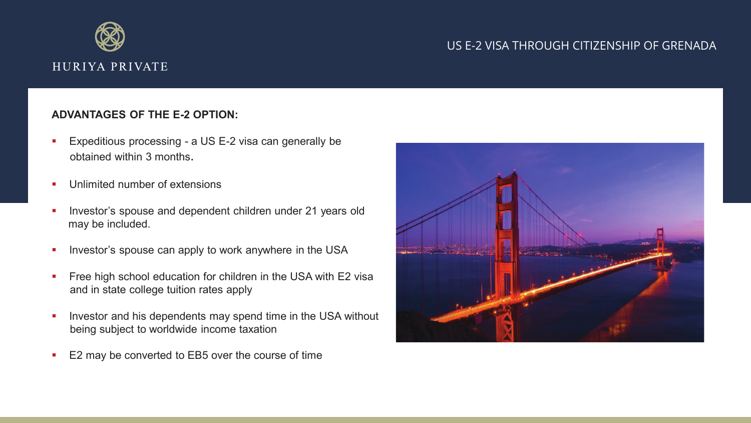

## US E-2 VISA THROUGH CITIZENSHIP OF GRENADA

## **ADVANTAGES OF THE E-2 OPTION:**

- **Expeditious processing a US E-2 visa can generally be** obtained within 3 months.
- **Unlimited number of extensions**
- **Investor's spouse and dependent children under 21 years old** may be included.
- **Investor's spouse can apply to work anywhere in the USA**
- **Figure 1** Free high school education for children in the USA with E2 visa and in state college tuition rates apply
- **Investor and his dependents may spend time in the USA without** being subject to worldwide income taxation
- E2 may be converted to EB5 over the course of time

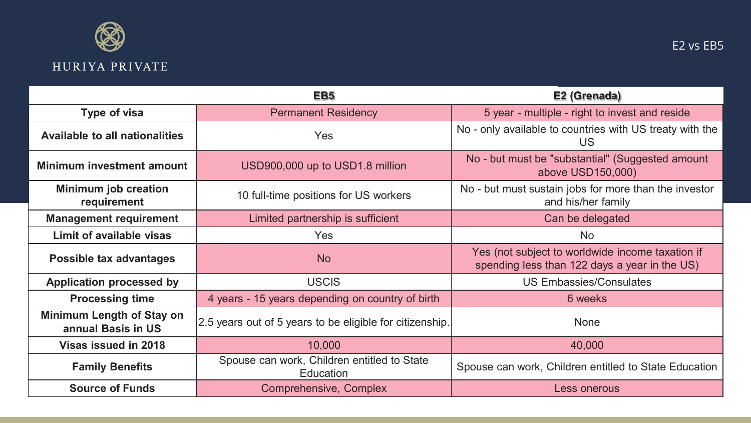

|                                                 | EB <sub>5</sub>                                                 | E2 (Grenada)                                                                                      |
|-------------------------------------------------|-----------------------------------------------------------------|---------------------------------------------------------------------------------------------------|
| Type of visa                                    | <b>Permanent Residency</b>                                      | 5 year - multiple - right to invest and reside                                                    |
| <b>Available to all nationalities</b>           | <b>Yes</b>                                                      | No - only available to countries with US treaty with the<br>US.                                   |
| <b>Minimum investment amount</b>                | USD900,000 up to USD1.8 million                                 | No - but must be "substantial" (Suggested amount<br>above USD150,000)                             |
| <b>Minimum job creation</b><br>requirement      | 10 full-time positions for US workers                           | No - but must sustain jobs for more than the investor<br>and his/her family                       |
| <b>Management requirement</b>                   | Limited partnership is sufficient                               | Can be delegated                                                                                  |
| <b>Limit of available visas</b>                 | <b>Yes</b>                                                      | <b>No</b>                                                                                         |
| Possible tax advantages                         | <b>No</b>                                                       | Yes (not subject to worldwide income taxation if<br>spending less than 122 days a year in the US) |
| <b>Application processed by</b>                 | <b>USCIS</b>                                                    | <b>US Embassies/Consulates</b>                                                                    |
| <b>Processing time</b>                          | 4 years - 15 years depending on country of birth                | 6 weeks                                                                                           |
| Minimum Length of Stay on<br>annual Basis in US | 2.5 years out of 5 years to be eligible for citizenship.        | <b>None</b>                                                                                       |
| <b>Visas issued in 2018</b>                     | 10,000                                                          | 40,000                                                                                            |
| <b>Family Benefits</b>                          | Spouse can work, Children entitled to State<br><b>Education</b> | Spouse can work, Children entitled to State Education                                             |
| <b>Source of Funds</b>                          | Comprehensive, Complex                                          | Less onerous                                                                                      |